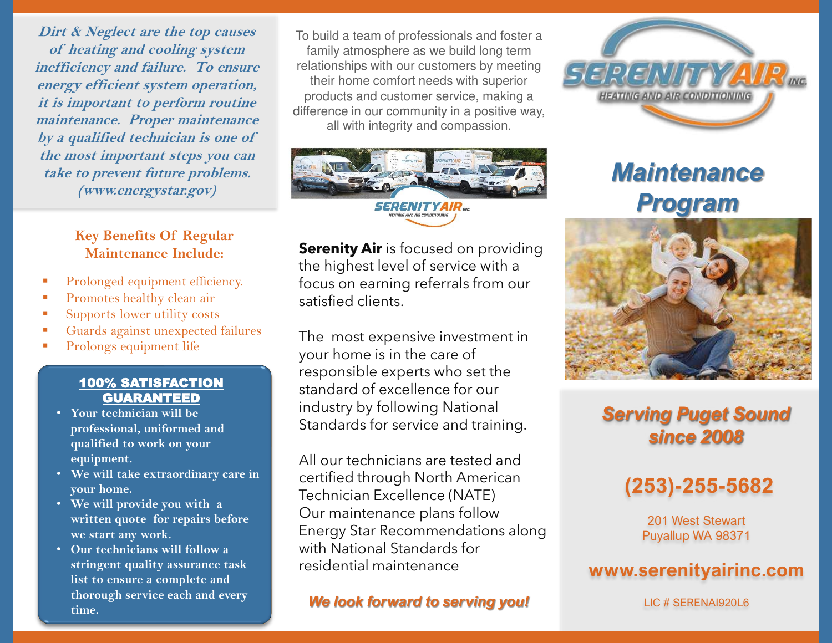**Dirt & Neglect are the top causes of heating and cooling system inefficiency and failure. To ensure energy efficient system operation, it is important to perform routine maintenance. Proper maintenance by a qualified technician is one of the most important steps you can take to prevent future problems. (www.energystar.gov)** 

### **Key Benefits Of Regular Maintenance Include:**

- Prolonged equipment efficiency.
- Promotes healthy clean air
- Supports lower utility costs
- Guards against unexpected failures
- Prolongs equipment life

#### 100% SATISFACTION GUARANTEED

- **Your technician will be professional, uniformed and qualified to work on your equipment.**
- **We will take extraordinary care in your home.**
- **We will provide you with a written quote for repairs before we start any work.**
- **Our technicians will follow a stringent quality assurance task list to ensure a complete and thorough service each and every time.**

To build a team of professionals and foster a family atmosphere as we build long term relationships with our customers by meeting their home comfort needs with superior products and customer service, making a difference in our community in a positive way, all with integrity and compassion.



**Serenity Air** is focused on providing the highest level of service with a focus on earning referrals from our satisfied clients.

The most expensive investment in your home is in the care of responsible experts who set the standard of excellence for our industry by following National Standards for service and training.

All our technicians are tested and certified through North American Technician Excellence (NATE) Our maintenance plans follow Energy Star Recommendations along with National Standards for residential maintenance

*We look forward to serving you!*



# *Maintenance Program*



## *Serving Puget Sound since 2008*

## **(253)-255-5682**

201 West Stewart Puyallup WA 98371

## **www.serenityairinc.com**

LIC # SERENAI920L6